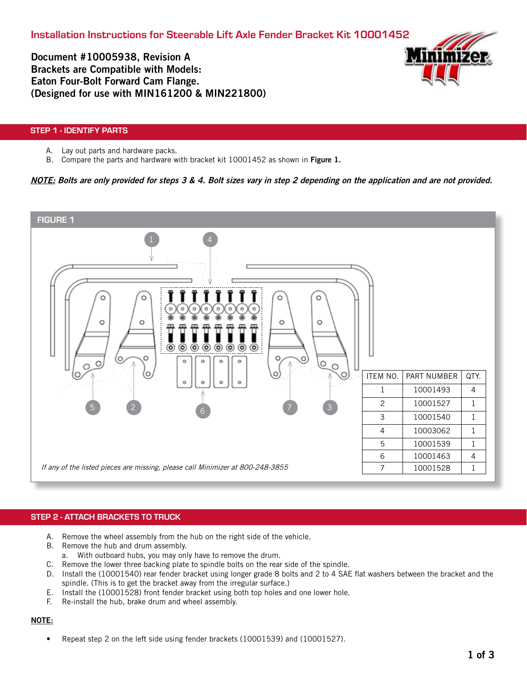Document #10005938, Revision A Brackets are Compatible with Models: Eaton Four-Bolt Forward Cam Flange. (Designed for use with MIN161200 & MIN221800)



# STEP 1 - IDENTIFY PARTS

- A. Lay out parts and hardware packs.
- B. Compare the parts and hardware with bracket kit 10001452 as shown in Figure 1.

# NOTE: Bolts are only provided for steps 3 & 4. Bolt sizes vary in step 2 depending on the application and are not provided.



# STEP 2 - ATTACH BRACKETS TO TRUCK

- A. Remove the wheel assembly from the hub on the right side of the vehicle.
- B. Remove the hub and drum assembly.
	- a. With outboard hubs, you may only have to remove the drum.
- C. Remove the lower three backing plate to spindle bolts on the rear side of the spindle.
- D. Install the (10001540) rear fender bracket using longer grade 8 bolts and 2 to 4 SAE flat washers between the bracket and the spindle. (This is to get the bracket away from the irregular surface.)
- E. Install the (10001528) front fender bracket using both top holes and one lower hole.
- F. Re-install the hub, brake drum and wheel assembly.

## NOTE:

• Repeat step 2 on the left side using fender brackets (10001539) and (10001527).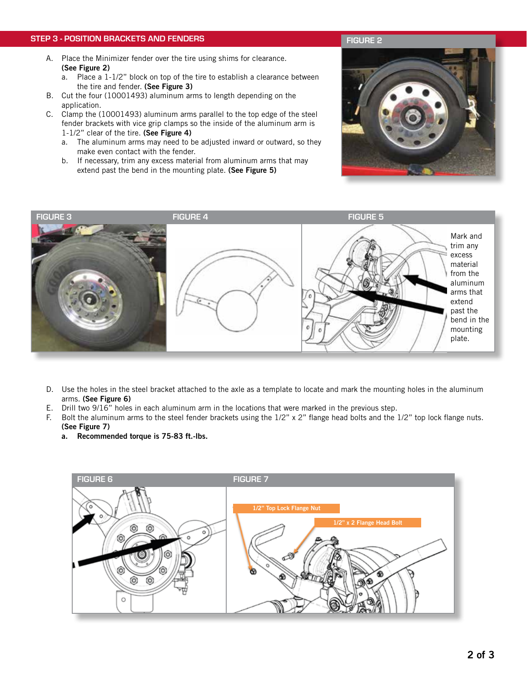## STEP 3 - POSITION BRACKETS AND FENDERS

- A. Place the Minimizer fender over the tire using shims for clearance. (See Figure 2)
	- a. Place a 1-1/2" block on top of the tire to establish a clearance between the tire and fender. (See Figure 3)
- B. Cut the four (10001493) aluminum arms to length depending on the application.
- C. Clamp the (10001493) aluminum arms parallel to the top edge of the steel fender brackets with vice grip clamps so the inside of the aluminum arm is 1-1/2" clear of the tire. (See Figure 4)
	- a. The aluminum arms may need to be adjusted inward or outward, so they make even contact with the fender.
	- b. If necessary, trim any excess material from aluminum arms that may extend past the bend in the mounting plate. (See Figure 5)





- D. Use the holes in the steel bracket attached to the axle as a template to locate and mark the mounting holes in the aluminum arms. (See Figure 6)
- E. Drill two 9/16" holes in each aluminum arm in the locations that were marked in the previous step.
- F. Bolt the aluminum arms to the steel fender brackets using the 1/2" x 2" flange head bolts and the 1/2" top lock flange nuts.
	- (See Figure 7)
	- a. Recommended torque is 75-83 ft.-lbs.